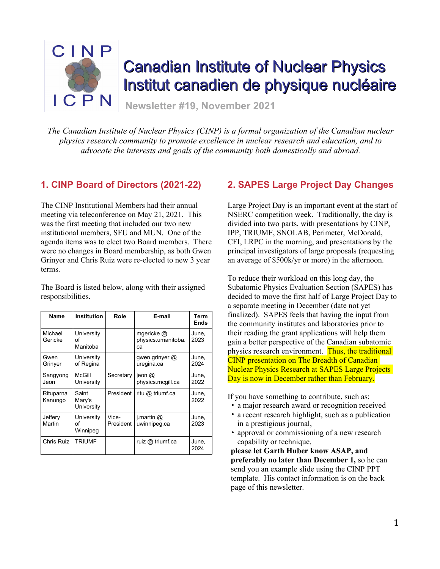

# Canadian Institute of Nuclear Physics Institut canadien de physique nucléaire

**Newsletter #19, November 2021**

*The Canadian Institute of Nuclear Physics (CINP) is a formal organization of the Canadian nuclear physics research community to promote excellence in nuclear research and education, and to advocate the interests and goals of the community both domestically and abroad.*

# **1. CINP Board of Directors (2021-22)**

The CINP Institutional Members had their annual meeting via teleconference on May 21, 2021. This was the first meeting that included our two new institutional members, SFU and MUN. One of the agenda items was to elect two Board members. There were no changes in Board membership, as both Gwen Grinyer and Chris Ruiz were re-elected to new 3 year terms.

The Board is listed below, along with their assigned responsibilities.

| Name                 | <b>Institution</b>            | Role               | E-mail                                 | Term<br><b>Ends</b> |
|----------------------|-------------------------------|--------------------|----------------------------------------|---------------------|
| Michael<br>Gericke   | University<br>οf<br>Manitoba  |                    | mgericke @<br>physics.umanitoba.<br>ca | June.<br>2023       |
| Gwen<br>Grinyer      | University<br>of Regina       |                    | gwen.grinyer $@$<br>uregina.ca         | June,<br>2024       |
| Sangyong<br>Jeon     | McGill<br>University          | Secretary          | ieon $@$<br>physics.mcgill.ca          | June,<br>2022       |
| Rituparna<br>Kanungo | Saint<br>Mary's<br>University | President          | ritu @ triumf.ca                       | June,<br>2022       |
| Jeffery<br>Martin    | University<br>οf<br>Winnipeg  | Vice-<br>President | i.martin $@$<br>uwinnipeg.ca           | June,<br>2023       |
| Chris Ruiz           | <b>TRIUMF</b>                 |                    | ruiz @ triumf.ca                       | June,<br>2024       |

# **2. SAPES Large Project Day Changes**

Large Project Day is an important event at the start of NSERC competition week. Traditionally, the day is divided into two parts, with presentations by CINP, IPP, TRIUMF, SNOLAB, Perimeter, McDonald, CFI, LRPC in the morning, and presentations by the principal investigators of large proposals (requesting an average of \$500k/yr or more) in the afternoon.

To reduce their workload on this long day, the Subatomic Physics Evaluation Section (SAPES) has decided to move the first half of Large Project Day to a separate meeting in December (date not yet finalized). SAPES feels that having the input from the community institutes and laboratories prior to their reading the grant applications will help them gain a better perspective of the Canadian subatomic physics research environment. Thus, the traditional CINP presentation on The Breadth of Canadian Nuclear Physics Research at SAPES Large Projects Day is now in December rather than February.

If you have something to contribute, such as:

- a major research award or recognition received
- a recent research highlight, such as a publication in a prestigious journal,
- approval or commissioning of a new research capability or technique,

**please let Garth Huber know ASAP, and preferably no later than December 1,** so he can send you an example slide using the CINP PPT template. His contact information is on the back page of this newsletter.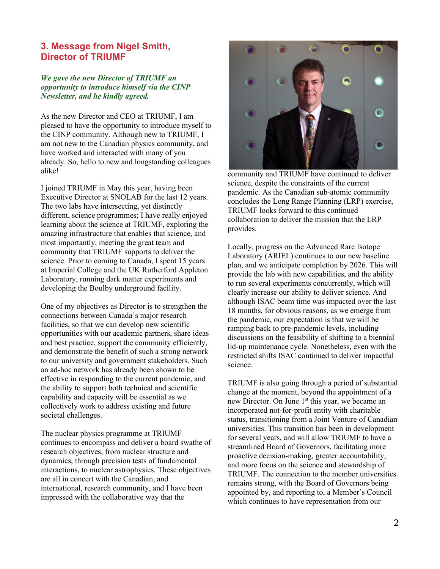## **3. Message from Nigel Smith, Director of TRIUMF**

#### *We gave the new Director of TRIUMF an opportunity to introduce himself via the CINP Newsletter, and he kindly agreed.*

As the new Director and CEO at TRIUMF, I am pleased to have the opportunity to introduce myself to the CINP community. Although new to TRIUMF, I am not new to the Canadian physics community, and have worked and interacted with many of you already. So, hello to new and longstanding colleagues alike!

I joined TRIUMF in May this year, having been Executive Director at SNOLAB for the last 12 years. The two labs have intersecting, yet distinctly different, science programmes; I have really enjoyed learning about the science at TRIUMF, exploring the amazing infrastructure that enables that science, and most importantly, meeting the great team and community that TRIUMF supports to deliver the science. Prior to coming to Canada, I spent 15 years at Imperial College and the UK Rutherford Appleton Laboratory, running dark matter experiments and developing the Boulby underground facility.

One of my objectives as Director is to strengthen the connections between Canada's major research facilities, so that we can develop new scientific opportunities with our academic partners, share ideas and best practice, support the community efficiently, and demonstrate the benefit of such a strong network to our university and government stakeholders. Such an ad-hoc network has already been shown to be effective in responding to the current pandemic, and the ability to support both technical and scientific capability and capacity will be essential as we collectively work to address existing and future societal challenges.

The nuclear physics programme at TRIUMF continues to encompass and deliver a board swathe of research objectives, from nuclear structure and dynamics, through precision tests of fundamental interactions, to nuclear astrophysics. These objectives are all in concert with the Canadian, and international, research community, and I have been impressed with the collaborative way that the



community and TRIUMF have continued to deliver science, despite the constraints of the current pandemic. As the Canadian sub-atomic community concludes the Long Range Planning (LRP) exercise, TRIUMF looks forward to this continued collaboration to deliver the mission that the LRP provides.

Locally, progress on the Advanced Rare Isotope Laboratory (ARIEL) continues to our new baseline plan, and we anticipate completion by 2026. This will provide the lab with new capabilities, and the ability to run several experiments concurrently, which will clearly increase our ability to deliver science. And although ISAC beam time was impacted over the last 18 months, for obvious reasons, as we emerge from the pandemic, our expectation is that we will be ramping back to pre-pandemic levels, including discussions on the feasibility of shifting to a biennial lid-up maintenance cycle. Nonetheless, even with the restricted shifts ISAC continued to deliver impactful science.

TRIUMF is also going through a period of substantial change at the moment, beyond the appointment of a new Director. On June 1<sup>st</sup> this year, we became an incorporated not-for-profit entity with charitable status, transitioning from a Joint Venture of Canadian universities. This transition has been in development for several years, and will allow TRIUMF to have a streamlined Board of Governors, facilitating more proactive decision-making, greater accountability, and more focus on the science and stewardship of TRIUMF. The connection to the member universities remains strong, with the Board of Governors being appointed by, and reporting to, a Member's Council which continues to have representation from our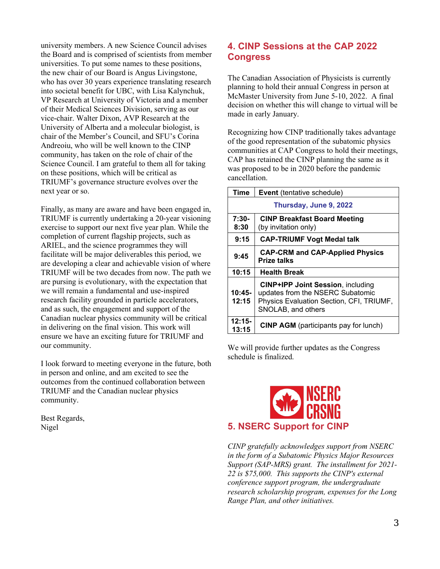university members. A new Science Council advises the Board and is comprised of scientists from member universities. To put some names to these positions, the new chair of our Board is Angus Livingstone, who has over 30 years experience translating research into societal benefit for UBC, with Lisa Kalynchuk, VP Research at University of Victoria and a member of their Medical Sciences Division, serving as our vice-chair. Walter Dixon, AVP Research at the University of Alberta and a molecular biologist, is chair of the Member's Council, and SFU's Corina Andreoiu, who will be well known to the CINP community, has taken on the role of chair of the Science Council. I am grateful to them all for taking on these positions, which will be critical as TRIUMF's governance structure evolves over the next year or so.

Finally, as many are aware and have been engaged in, TRIUMF is currently undertaking a 20-year visioning exercise to support our next five year plan. While the completion of current flagship projects, such as ARIEL, and the science programmes they will facilitate will be major deliverables this period, we are developing a clear and achievable vision of where TRIUMF will be two decades from now. The path we are pursing is evolutionary, with the expectation that we will remain a fundamental and use-inspired research facility grounded in particle accelerators, and as such, the engagement and support of the Canadian nuclear physics community will be critical in delivering on the final vision. This work will ensure we have an exciting future for TRIUMF and our community.

I look forward to meeting everyone in the future, both in person and online, and am excited to see the outcomes from the continued collaboration between TRIUMF and the Canadian nuclear physics community.

Best Regards, Nigel

# **4. CINP Sessions at the CAP 2022 Congress**

The Canadian Association of Physicists is currently planning to hold their annual Congress in person at McMaster University from June 5-10, 2022. A final decision on whether this will change to virtual will be made in early January.

Recognizing how CINP traditionally takes advantage of the good representation of the subatomic physics communities at CAP Congress to hold their meetings, CAP has retained the CINP planning the same as it was proposed to be in 2020 before the pandemic cancellation.

| Time              | <b>Event</b> (tentative schedule)                                                                                                              |  |  |
|-------------------|------------------------------------------------------------------------------------------------------------------------------------------------|--|--|
|                   | Thursday, June 9, 2022                                                                                                                         |  |  |
| $7:30-$<br>8:30   | <b>CINP Breakfast Board Meeting</b><br>(by invitation only)                                                                                    |  |  |
| 9:15              | <b>CAP-TRIUMF Vogt Medal talk</b>                                                                                                              |  |  |
| 9:45              | <b>CAP-CRM and CAP-Applied Physics</b><br><b>Prize talks</b>                                                                                   |  |  |
| 10:15             | <b>Health Break</b>                                                                                                                            |  |  |
| $10:45-$<br>12:15 | <b>CINP+IPP Joint Session, including</b><br>updates from the NSERC Subatomic<br>Physics Evaluation Section, CFI, TRIUMF,<br>SNOLAB, and others |  |  |
| $12:15-$<br>13:15 | <b>CINP AGM</b> (participants pay for lunch)                                                                                                   |  |  |

We will provide further updates as the Congress schedule is finalized.



*CINP gratefully acknowledges support from NSERC in the form of a Subatomic Physics Major Resources Support (SAP-MRS) grant. The installment for 2021- 22 is \$75,000. This supports the CINP's external conference support program, the undergraduate research scholarship program, expenses for the Long Range Plan, and other initiatives.*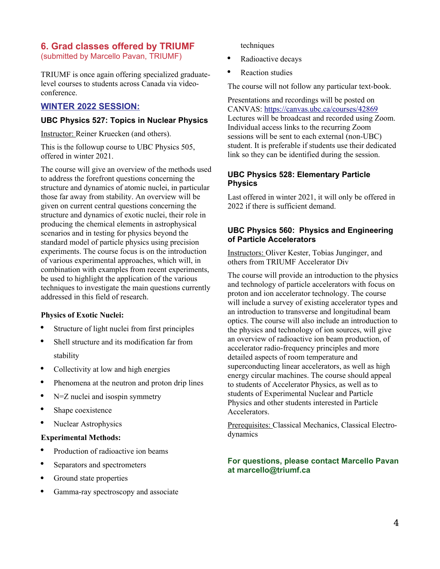# **6. Grad classes offered by TRIUMF**

(submitted by Marcello Pavan, TRIUMF)

TRIUMF is once again offering specialized graduatelevel courses to students across Canada via videoconference.

## **WINTER 2022 SESSION:**

#### **UBC Physics 527: Topics in Nuclear Physics**

Instructor: Reiner Kruecken (and others).

This is the followup course to UBC Physics 505, offered in winter 2021.

The course will give an overview of the methods used to address the forefront questions concerning the structure and dynamics of atomic nuclei, in particular those far away from stability. An overview will be given on current central questions concerning the structure and dynamics of exotic nuclei, their role in producing the chemical elements in astrophysical scenarios and in testing for physics beyond the standard model of particle physics using precision experiments. The course focus is on the introduction of various experimental approaches, which will, in combination with examples from recent experiments, be used to highlight the application of the various techniques to investigate the main questions currently addressed in this field of research.

#### **Physics of Exotic Nuclei:**

- Structure of light nuclei from first principles
- Shell structure and its modification far from stability
- Collectivity at low and high energies
- Phenomena at the neutron and proton drip lines
- $\bullet$  N=Z nuclei and isospin symmetry
- Shape coexistence
- Nuclear Astrophysics

#### **Experimental Methods:**

- Production of radioactive ion beams
- Separators and spectrometers
- Ground state properties
- Gamma-ray spectroscopy and associate

techniques

- Radioactive decays
- Reaction studies

The course will not follow any particular text-book.

Presentations and recordings will be posted on CANVAS: <https://canvas.ubc.ca/courses/42869> Lectures will be broadcast and recorded using Zoom. Individual access links to the recurring Zoom sessions will be sent to each external (non-UBC) student. It is preferable if students use their dedicated link so they can be identified during the session.

## **UBC Physics 528: Elementary Particle Physics**

Last offered in winter 2021, it will only be offered in 2022 if there is sufficient demand.

## **UBC Physics 560: Physics and Engineering of Particle Accelerators**

Instructors: Oliver Kester, Tobias Junginger, and others from TRIUMF Accelerator Div

The course will provide an introduction to the physics and technology of particle accelerators with focus on proton and ion accelerator technology. The course will include a survey of existing accelerator types and an introduction to transverse and longitudinal beam optics. The course will also include an introduction to the physics and technology of ion sources, will give an overview of radioactive ion beam production, of accelerator radio-frequency principles and more detailed aspects of room temperature and superconducting linear accelerators, as well as high energy circular machines. The course should appeal to students of Accelerator Physics, as well as to students of Experimental Nuclear and Particle Physics and other students interested in Particle Accelerators.

Prerequisites: Classical Mechanics, Classical Electrodynamics

### **For questions, please contact Marcello Pavan at marcello@triumf.ca**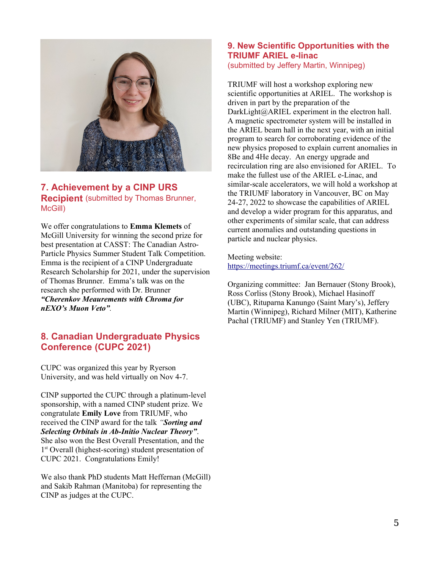

## **7. Achievement by a CINP URS Recipient** (submitted by Thomas Brunner, McGill)

We offer congratulations to **Emma Klemets** of McGill University for winning the second prize for best presentation at CASST: The Canadian Astro-Particle Physics Summer Student Talk Competition. Emma is the recipient of a CINP Undergraduate Research Scholarship for 2021, under the supervision of Thomas Brunner. Emma's talk was on the research she performed with Dr. Brunner *"Cherenkov Meaurements with Chroma for nEXO's Muon Veto".*

# **8. Canadian Undergraduate Physics Conference (CUPC 2021)**

CUPC was organized this year by Ryerson University, and was held virtually on Nov 4-7.

CINP supported the CUPC through a platinum-level sponsorship, with a named CINP student prize. We congratulate **Emily Love** from TRIUMF, who received the CINP award for the talk *"Sorting and Selecting Orbitals in Ab-Initio Nuclear Theory"*. She also won the Best Overall Presentation, and the 1 st Overall (highest-scoring) student presentation of CUPC 2021. Congratulations Emily!

We also thank PhD students Matt Heffernan (McGill) and Sakib Rahman (Manitoba) for representing the CINP as judges at the CUPC.

#### **9. New Scientific Opportunities with the TRIUMF ARIEL e-linac** (submitted by Jeffery Martin, Winnipeg)

TRIUMF will host a workshop exploring new scientific opportunities at ARIEL. The workshop is driven in part by the preparation of the DarkLight@ARIEL experiment in the electron hall. A magnetic spectrometer system will be installed in the ARIEL beam hall in the next year, with an initial program to search for corroborating evidence of the new physics proposed to explain current anomalies in 8Be and 4He decay. An energy upgrade and recirculation ring are also envisioned for ARIEL. To make the fullest use of the ARIEL e-Linac, and similar-scale accelerators, we will hold a workshop at the TRIUMF laboratory in Vancouver, BC on May 24-27, 2022 to showcase the capabilities of ARIEL and develop a wider program for this apparatus, and other experiments of similar scale, that can address current anomalies and outstanding questions in particle and nuclear physics.

Meeting website: <https://meetings.triumf.ca/event/262/>

Organizing committee: Jan Bernauer (Stony Brook), Ross Corliss (Stony Brook), Michael Hasinoff (UBC), Rituparna Kanungo (Saint Mary's), Jeffery Martin (Winnipeg), Richard Milner (MIT), Katherine Pachal (TRIUMF) and Stanley Yen (TRIUMF).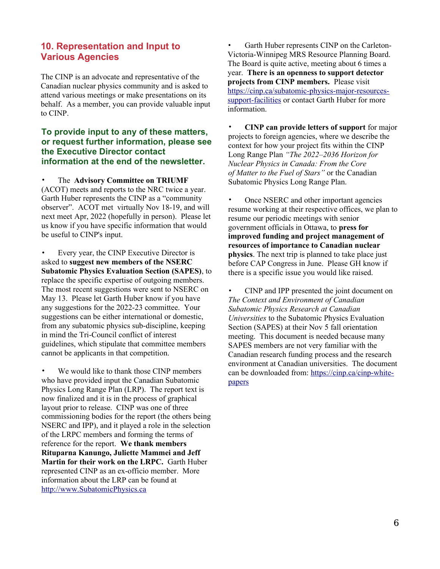## **10. Representation and Input to Various Agencies**

The CINP is an advocate and representative of the Canadian nuclear physics community and is asked to attend various meetings or make presentations on its behalf. As a member, you can provide valuable input to CINP.

## **To provide input to any of these matters, or request further information, please see the Executive Director contact information at the end of the newsletter.**

• The **Advisory Committee on TRIUMF** (ACOT) meets and reports to the NRC twice a year. Garth Huber represents the CINP as a "community observer". ACOT met virtually Nov 18-19, and will next meet Apr, 2022 (hopefully in person). Please let us know if you have specific information that would be useful to CINP's input.

• Every year, the CINP Executive Director is asked to **suggest new members of the NSERC Subatomic Physics Evaluation Section (SAPES)**, to replace the specific expertise of outgoing members. The most recent suggestions were sent to NSERC on May 13. Please let Garth Huber know if you have any suggestions for the 2022-23 committee. Your suggestions can be either international or domestic, from any subatomic physics sub-discipline, keeping in mind the Tri-Council conflict of interest guidelines, which stipulate that committee members cannot be applicants in that competition.

• We would like to thank those CINP members who have provided input the Canadian Subatomic Physics Long Range Plan (LRP). The report text is now finalized and it is in the process of graphical layout prior to release. CINP was one of three commissioning bodies for the report (the others being NSERC and IPP), and it played a role in the selection of the LRPC members and forming the terms of reference for the report. **We thank members Rituparna Kanungo, Juliette Mammei and Jeff Martin for their work on the LRPC.** Garth Huber represented CINP as an ex-officio member. More information about the LRP can be found at [http://www.SubatomicPhysics.ca](http://www.SubatomicPhysics.ca/)

Garth Huber represents CINP on the Carleton-Victoria-Winnipeg MRS Resource Planning Board. The Board is quite active, meeting about 6 times a year. **There is an openness to support detector projects from CINP members.** Please visit [https://cinp.ca/subatomic-physics-major-resources](https://cinp.ca/subatomic-physics-major-resources-support-facilities)[support-facilities](https://cinp.ca/subatomic-physics-major-resources-support-facilities) or contact Garth Huber for more information.

• **CINP can provide letters of support** for major projects to foreign agencies, where we describe the context for how your project fits within the CINP Long Range Plan *"The 2022–2036 Horizon for Nuclear Physics in Canada: From the Core of Matter to the Fuel of Stars"* or the Canadian Subatomic Physics Long Range Plan.

• Once NSERC and other important agencies resume working at their respective offices, we plan to resume our periodic meetings with senior government officials in Ottawa, to **press for improved funding and project management of resources of importance to Canadian nuclear physics**. The next trip is planned to take place just before CAP Congress in June. Please GH know if there is a specific issue you would like raised.

• CINP and IPP presented the joint document on *The Context and Environment of Canadian Subatomic Physics Research at Canadian Universities* to the Subatomic Physics Evaluation Section (SAPES) at their Nov 5 fall orientation meeting. This document is needed because many SAPES members are not very familiar with the Canadian research funding process and the research environment at Canadian universities. The document can be downloaded from: [https://cinp.ca/cinp-white](https://cinp.ca/cinp-white-papers)[papers](https://cinp.ca/cinp-white-papers)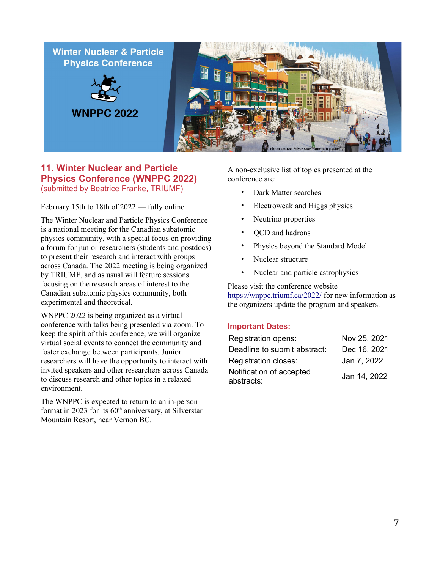

## **11. Winter Nuclear and Particle Physics Conference (WNPPC 2022)** (submitted by Beatrice Franke, TRIUMF)

February 15th to 18th of 2022 — fully online.

The Winter Nuclear and Particle Physics Conference is a national meeting for the Canadian subatomic physics community, with a special focus on providing a forum for junior researchers (students and postdocs) to present their research and interact with groups across Canada. The 2022 meeting is being organized by TRIUMF, and as usual will feature sessions focusing on the research areas of interest to the Canadian subatomic physics community, both experimental and theoretical.

WNPPC 2022 is being organized as a virtual conference with talks being presented via zoom. To keep the spirit of this conference, we will organize virtual social events to connect the community and foster exchange between participants. Junior researchers will have the opportunity to interact with invited speakers and other researchers across Canada to discuss research and other topics in a relaxed environment.

The WNPPC is expected to return to an in-person format in 2023 for its  $60<sup>th</sup>$  anniversary, at Silverstar Mountain Resort, near Vernon BC.

A non-exclusive list of topics presented at the conference are:

- Dark Matter searches
- Electroweak and Higgs physics
- Neutrino properties
- QCD and hadrons
- Physics beyond the Standard Model
- Nuclear structure
- Nuclear and particle astrophysics

Please visit the conference website [https://wnppc.triumf.ca/2022/](https://wnppc.triumf.ca/2022/index.html) for new information as the organizers update the program and speakers.

#### **Important Dates:**

| Registration opens:                    | Nov 25, 2021 |
|----------------------------------------|--------------|
| Deadline to submit abstract:           | Dec 16, 2021 |
| <b>Registration closes:</b>            | Jan 7, 2022  |
| Notification of accepted<br>abstracts: | Jan 14, 2022 |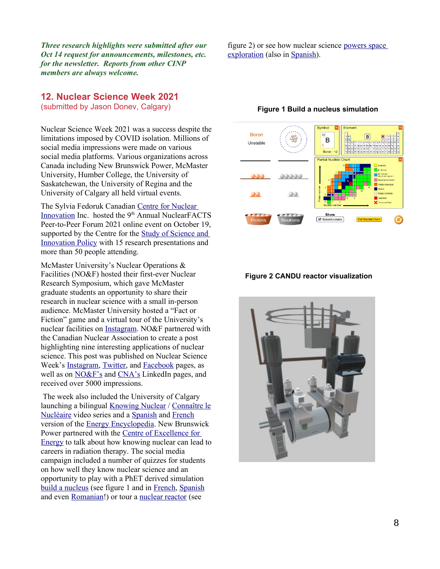*Three research highlights were submitted after our Oct 14 request for announcements, milestones, etc. for the newsletter. Reports from other CINP members are always welcome.*

## **12. Nuclear Science Week 2021**

(submitted by Jason Donev, Calgary)

Nuclear Science Week 2021 was a success despite the limitations imposed by COVID isolation. Millions of social media impressions were made on various social media platforms. Various organizations across Canada including New Brunswick Power, McMaster University, Humber College, the University of Saskatchewan, the University of Regina and the University of Calgary all held virtual events.

The Sylvia Fedoruk Canadian [Centre for Nuclear](https://fedorukcentre.ca/)  [Innovation](https://fedorukcentre.ca/) Inc. hosted the 9<sup>th</sup> Annual NuclearFACTS Peer-to-Peer Forum 2021 online event on October 19, supported by the Centre for the Study of Science and [Innovation Policy](https://www.schoolofpublicpolicy.sk.ca/csip/) with 15 research presentations and more than 50 people attending.

McMaster University's Nuclear Operations & Facilities (NO&F) hosted their first-ever Nuclear Research Symposium, which gave McMaster graduate students an opportunity to share their research in nuclear science with a small in-person audience. McMaster University hosted a "Fact or Fiction" game and a virtual tour of the University's nuclear facilities on [Instagram](https://www.instagram.com/mcmasteru/). NO&F partnered with the Canadian Nuclear Association to create a post highlighting nine interesting applications of nuclear science. This post was published on Nuclear Science Week's [Instagram](https://www.instagram.com/p/CVVw_LYjPiW/), [Twitter](https://twitter.com/nuclearsciweek/status/1451609328473964545), and [Facebook](https://www.facebook.com/nuclearscienceweek/posts/4551463078234392?__tn__=-R) pages, as well as on [NO&F's](https://www.linkedin.com/feed/update/urn:li:activity:6857342184593641472) and [CNA's](https://www.linkedin.com/posts/canadian-nuclear-association_nuclearscienceweek-nuclear-nuclearscience-activity-6857336684384722944-OhHI) LinkedIn pages, and received over 5000 impressions.

 The week also included the University of Calgary launching a bilingual [Knowing Nuclear](https://www.youtube.com/watch?v=EFzrFGSyGfw) / [Connaître le](https://www.youtube.com/playlist?list=PL1xLkQN5TokXA8hampg601xrb68mpUfgg) [Nucléaire](https://www.youtube.com/playlist?list=PL1xLkQN5TokXA8hampg601xrb68mpUfgg) video series and a [Spanish](https://energyeducation.ca/Enciclopedia_de_Energia/index.php/P%C3%A1gina_principal) and [French](https://energyeducation.ca/Encyclopedie_Energie/index.php/Page_Principale) version of the [Energy Encyclopedia](https://energyeducation.ca/encyclopedia/Main_Page). New Brunswick Power partnered with the [Centre of Excellence for](https://centresofexcellencenb.ca/learning-opportunities/#_blank)  [Energy](https://centresofexcellencenb.ca/learning-opportunities/#_blank) to talk about how knowing nuclear can lead to careers in radiation therapy. The social media campaign included a number of quizzes for students on how well they know nuclear science and an opportunity to play with a PhET derived simulation [build a nucleus](https://energyeducation.ca/simulations/build-a-nucleus/build-a-nucleus_en.html) (see figure 1 and in [French](https://energyeducation.ca/simulations/build-a-nucleus/build-a-nucleus_fr.html), [Spanish](https://energyeducation.ca/simulations/build-a-nucleus/build-a-nucleus_es.html) and even [Romanian](https://energyeducation.ca/simulations/build-a-nucleus/build-a-nucleus_ro.html)!) or tour a [nuclear reactor](https://energyeducation.ca/3dmodels/Exterior/) (see

figure 2) or see how nuclear science [powers space](https://energyeducation.ca/3dmodels/RTG/)  [exploration](https://energyeducation.ca/3dmodels/RTG/) (also in [Spanish](https://energyeducation.ca/3dmodels/RTG_es/)).



#### **Figure 1 Build a nucleus simulation**

#### **Figure 2 CANDU reactor visualization**

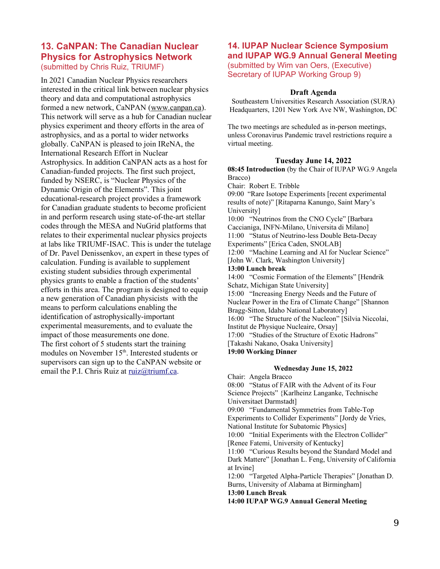## **13. CaNPAN: The Canadian Nuclear Physics for Astrophysics Network** (submitted by Chris Ruiz, TRIUMF)

In 2021 Canadian Nuclear Physics researchers interested in the critical link between nuclear physics theory and data and computational astrophysics formed a new network, CaNPAN ([www.canpan.ca](http://www.canpan.ca/)). This network will serve as a hub for Canadian nuclear physics experiment and theory efforts in the area of astrophysics, and as a portal to wider networks globally. CaNPAN is pleased to join IReNA, the International Research Effort in Nuclear Astrophysics. In addition CaNPAN acts as a host for Canadian-funded projects. The first such project, funded by NSERC, is "Nuclear Physics of the Dynamic Origin of the Elements". This joint educational-research project provides a framework for Canadian graduate students to become proficient in and perform research using state-of-the-art stellar codes through the MESA and NuGrid platforms that relates to their experimental nuclear physics projects at labs like TRIUMF-ISAC. This is under the tutelage of Dr. Pavel Denissenkov, an expert in these types of calculation. Funding is available to supplement existing student subsidies through experimental physics grants to enable a fraction of the students' efforts in this area. The program is designed to equip a new generation of Canadian physicists with the means to perform calculations enabling the identification of astrophysically-important experimental measurements, and to evaluate the impact of those measurements one done. The first cohort of 5 students start the training modules on November 15<sup>th</sup>. Interested students or supervisors can sign up to the CaNPAN website or email the P.I. Chris Ruiz at [ruiz@triumf.ca](mailto:ruiz@triumf.ca).

# **14. IUPAP Nuclear Science Symposium and IUPAP WG.9 Annual General Meeting**

(submitted by Wim van Oers, (Executive) Secretary of IUPAP Working Group 9)

#### **Draft Agenda**

Southeastern Universities Research Association (SURA) Headquarters, 1201 New York Ave NW, Washington, DC

The two meetings are scheduled as in-person meetings, unless Coronavirus Pandemic travel restrictions require a virtual meeting.

#### **Tuesday June 14, 2022**

**08:45 Introduction** (by the Chair of IUPAP WG.9 Angela Bracco)

Chair: Robert E. Tribble

09:00 "Rare Isotope Experiments [recent experimental results of note)" [Ritaparna Kanungo, Saint Mary's University]

10:00 "Neutrinos from the CNO Cycle" [Barbara Caccianiga, INFN-Milano, Universita di Milano] 11:00 "Status of Neutrino-less Double Beta-Decay Experiments" [Erica Caden, SNOLAB]

12:00 "Machine Learning and AI for Nuclear Science" [John W. Clark, Washington University]

#### **13:00 Lunch break**

14:00 "Cosmic Formation of the Elements" [Hendrik Schatz, Michigan State University]

15:00 "Increasing Energy Needs and the Future of

Nuclear Power in the Era of Climate Change" [Shannon Bragg-Sitton, Idaho National Laboratory]

16:00 "The Structure of the Nucleon" [Silvia Niccolai,

Institut de Physique Nucleaire, Orsay]

17:00 "Studies of the Structure of Exotic Hadrons"

[Takashi Nakano, Osaka University]

#### **19:00 Working Dinner**

#### **Wednesday June 15, 2022**

Chair: Angela Bracco 08:00 "Status of FAIR with the Advent of its Four Science Projects" {Karlheinz Langanke, Technische Universitaet Darmstadt]

09:00 "Fundamental Symmetries from Table-Top Experiments to Collider Experiments" [Jordy de Vries, National Institute for Subatomic Physics]

10:00 "Initial Experiments with the Electron Collider" [Renee Fatemi, University of Kentucky]

11:00 "Curious Results beyond the Standard Model and Dark Mattere" [Jonathan L. Feng, University of California at Irvine]

12:00 "Targeted Alpha-Particle Therapies" [Jonathan D. Burns, University of Alabama at Birmingham] **13:00 Lunch Break**

**14:00 IUPAP WG.9 AnnuaI General Meeting**